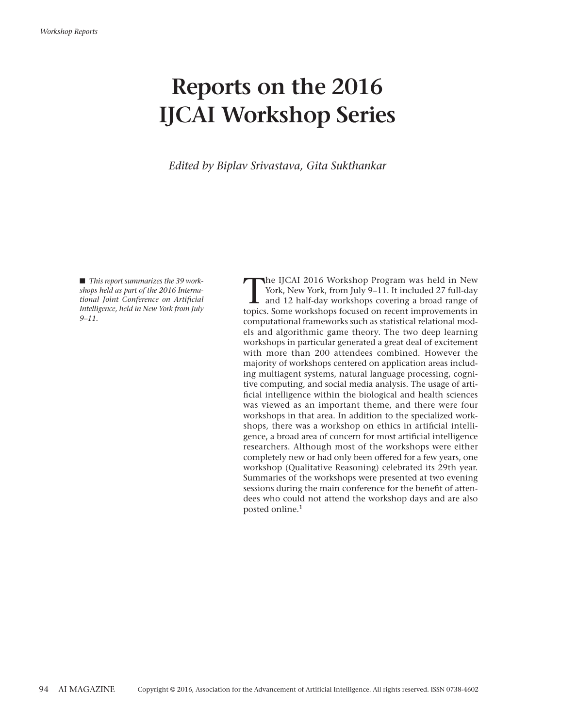# **Reports on the 2016 IJCAI Workshop Series**

*Edited by Biplav Srivastava, Gita Sukthankar*

■ *This report summarizes the 39 workshops held as part of the 2016 International Joint Conference on Artificial Intelligence, held in New York from July 9–11.*

The IJCAI 2016 Workshop Program was held in New York, New York, from July 9–11. It included 27 full-day and 12 half-day workshops covering a broad range of tonics. Some workshops focused on recent improvements in York, New York, from July 9–11. It included 27 full-day topics. Some workshops focused on recent improvements in computational frameworks such as statistical relational models and algorithmic game theory. The two deep learning workshops in particular generated a great deal of excitement with more than 200 attendees combined. However the majority of workshops centered on application areas including multiagent systems, natural language processing, cognitive computing, and social media analysis. The usage of artificial intelligence within the biological and health sciences was viewed as an important theme, and there were four workshops in that area. In addition to the specialized workshops, there was a workshop on ethics in artificial intelligence, a broad area of concern for most artificial intelligence researchers. Although most of the workshops were either completely new or had only been offered for a few years, one workshop (Qualitative Reasoning) celebrated its 29th year. Summaries of the workshops were presented at two evening sessions during the main conference for the benefit of attendees who could not attend the workshop days and are also posted online. 1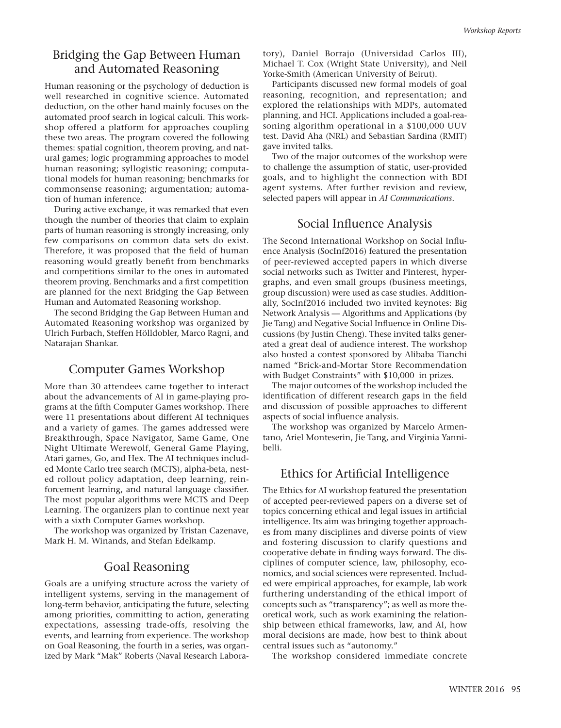## Bridging the Gap Between Human and Automated Reasoning

Human reasoning or the psychology of deduction is well researched in cognitive science. Automated deduction, on the other hand mainly focuses on the automated proof search in logical calculi. This workshop offered a platform for approaches coupling these two areas. The program covered the following themes: spatial cognition, theorem proving, and natural games; logic programming approaches to model human reasoning; syllogistic reasoning; computational models for human reasoning; benchmarks for commonsense reasoning; argumentation; automation of human inference.

During active exchange, it was remarked that even though the number of theories that claim to explain parts of human reasoning is strongly increasing, only few comparisons on common data sets do exist. Therefore, it was proposed that the field of human reasoning would greatly benefit from benchmarks and competitions similar to the ones in automated theorem proving. Benchmarks and a first competition are planned for the next Bridging the Gap Between Human and Automated Reasoning workshop.

The second Bridging the Gap Between Human and Automated Reasoning workshop was organized by Ulrich Furbach, Steffen Hölldobler, Marco Ragni, and Natarajan Shankar.

#### Computer Games Workshop

More than 30 attendees came together to interact about the advancements of AI in game-playing programs at the fifth Computer Games workshop. There were 11 presentations about different AI techniques and a variety of games. The games addressed were Breakthrough, Space Navigator, Same Game, One Night Ultimate Werewolf, General Game Playing, Atari games, Go, and Hex. The AI techniques included Monte Carlo tree search (MCTS), alpha-beta, nested rollout policy adaptation, deep learning, reinforcement learning, and natural language classifier. The most popular algorithms were MCTS and Deep Learning. The organizers plan to continue next year with a sixth Computer Games workshop.

The workshop was organized by Tristan Cazenave, Mark H. M. Winands, and Stefan Edelkamp.

#### Goal Reasoning

Goals are a unifying structure across the variety of intelligent systems, serving in the management of long-term behavior, anticipating the future, selecting among priorities, committing to action, generating expectations, assessing trade-offs, resolving the events, and learning from experience. The workshop on Goal Reasoning, the fourth in a series, was organized by Mark "Mak" Roberts (Naval Research Laboratory), Daniel Borrajo (Universidad Carlos III), Michael T. Cox (Wright State University), and Neil Yorke-Smith (American University of Beirut).

Participants discussed new formal models of goal reasoning, recognition, and representation; and explored the relationships with MDPs, automated planning, and HCI. Applications included a goal-reasoning algorithm operational in a \$100,000 UUV test. David Aha (NRL) and Sebastian Sardina (RMIT) gave invited talks.

Two of the major outcomes of the workshop were to challenge the assumption of static, user-provided goals, and to highlight the connection with BDI agent systems. After further revision and review, selected papers will appear in *AI Communications.*

#### Social Influence Analysis

The Second International Workshop on Social Influence Analysis (SocInf2016) featured the presentation of peer-reviewed accepted papers in which diverse social networks such as Twitter and Pinterest, hypergraphs, and even small groups (business meetings, group discussion) were used as case studies. Additionally, SocInf2016 included two invited keynotes: Big Network Analysis — Algorithms and Applications (by Jie Tang) and Negative Social Influence in Online Discussions (by Justin Cheng). These invited talks generated a great deal of audience interest. The workshop also hosted a contest sponsored by Alibaba Tianchi named "Brick-and-Mortar Store Recommendation with Budget Constraints" with \$10,000 in prizes.

The major outcomes of the workshop included the identification of different research gaps in the field and discussion of possible approaches to different aspects of social influence analysis.

The workshop was organized by Marcelo Armentano, Ariel Monteserin, Jie Tang, and Virginia Yannibelli.

#### Ethics for Artificial Intelligence

The Ethics for AI workshop featured the presentation of accepted peer-reviewed papers on a diverse set of topics concerning ethical and legal issues in artificial intelligence. Its aim was bringing together approaches from many disciplines and diverse points of view and fostering discussion to clarify questions and cooperative debate in finding ways forward. The disciplines of computer science, law, philosophy, economics, and social sciences were represented. Included were empirical approaches, for example, lab work furthering understanding of the ethical import of concepts such as "transparency"; as well as more theoretical work, such as work examining the relationship between ethical frameworks, law, and AI, how moral decisions are made, how best to think about central issues such as "autonomy."

The workshop considered immediate concrete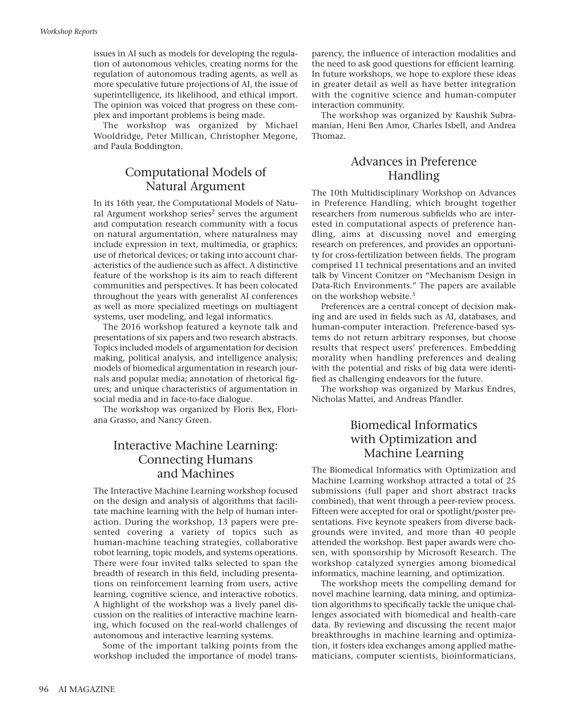issues in AI such as models for developing the regulation of autonomous vehicles, creating norms for the regulation of autonomous trading agents, as well as more speculative future projections of AI, the issue of superintelligence, its likelihood, and ethical import. The opinion was voiced that progress on these complex and important problems is being made.

The workshop was organized by Michael Wooldridge, Peter Millican, Christopher Megone, and Paula Boddington.

# Computational Models of Natural Argument

In its 16th year, the Computational Models of Natural Argument workshop series<sup>2</sup> serves the argument and computation research community with a focus on natural argumentation, where naturalness may include expression in text, multimedia, or graphics; use of rhetorical devices; or taking into account characteristics of the audience such as affect. A distinctive feature of the workshop is its aim to reach different communities and perspectives. It has been colocated throughout the years with generalist AI conferences as well as more specialized meetings on multiagent systems, user modeling, and legal informatics.

The 2016 workshop featured a keynote talk and presentations of six papers and two research abstracts. Topics included models of argumentation for decision making, political analysis, and intelligence analysis; models of biomedical argumentation in research journals and popular media; annotation of rhetorical figures; and unique characteristics of argumentation in social media and in face-to-face dialogue.

The workshop was organized by Floris Bex, Floriana Grasso, and Nancy Green.

#### Interactive Machine Learning: Connecting Humans and Machines

The Interactive Machine Learning workshop focused on the design and analysis of algorithms that facilitate machine learning with the help of human interaction. During the workshop, 13 papers were presented covering a variety of topics such as human-machine teaching strategies, collaborative robot learning, topic models, and systems operations. There were four invited talks selected to span the breadth of research in this field, including presentations on reinforcement learning from users, active learning, cognitive science, and interactive robotics. A highlight of the workshop was a lively panel discussion on the realities of interactive machine learning, which focused on the real-world challenges of autonomous and interactive learning systems.

Some of the important talking points from the workshop included the importance of model transparency, the influence of interaction modalities and the need to ask good questions for efficient learning. In future workshops, we hope to explore these ideas in greater detail as well as have better integration with the cognitive science and human-computer interaction community.

The workshop was organized by Kaushik Subramanian, Heni Ben Amor, Charles Isbell, and Andrea Thomaz.

# Advances in Preference Handling

The 10th Multidisciplinary Workshop on Advances in Preference Handling, which brought together researchers from numerous subfields who are interested in computational aspects of preference handling, aims at discussing novel and emerging research on preferences, and provides an opportunity for cross-fertilization between fields. The program comprised 11 technical presentations and an invited talk by Vincent Conitzer on "Mechanism Design in Data-Rich Environments." The papers are available on the workshop website. 3

Preferences are a central concept of decision making and are used in fields such as AI, databases, and human-computer interaction. Preference-based systems do not return arbitrary responses, but choose results that respect users' preferences. Embedding morality when handling preferences and dealing with the potential and risks of big data were identified as challenging endeavors for the future.

The workshop was organized by Markus Endres, Nicholas Mattei, and Andreas Pfandler.

## Biomedical Informatics with Optimization and Machine Learning

The Biomedical Informatics with Optimization and Machine Learning workshop attracted a total of 25 submissions (full paper and short abstract tracks combined), that went through a peer-review process. Fifteen were accepted for oral or spotlight/poster presentations. Five keynote speakers from diverse backgrounds were invited, and more than 40 people attended the workshop. Best paper awards were chosen, with sponsorship by Microsoft Research. The workshop catalyzed synergies among biomedical informatics, machine learning, and optimization.

The workshop meets the compelling demand for novel machine learning, data mining, and optimization algorithms to specifically tackle the unique challenges associated with biomedical and health-care data. By reviewing and discussing the recent major breakthroughs in machine learning and optimization, it fosters idea exchanges among applied mathematicians, computer scientists, bioinformaticians,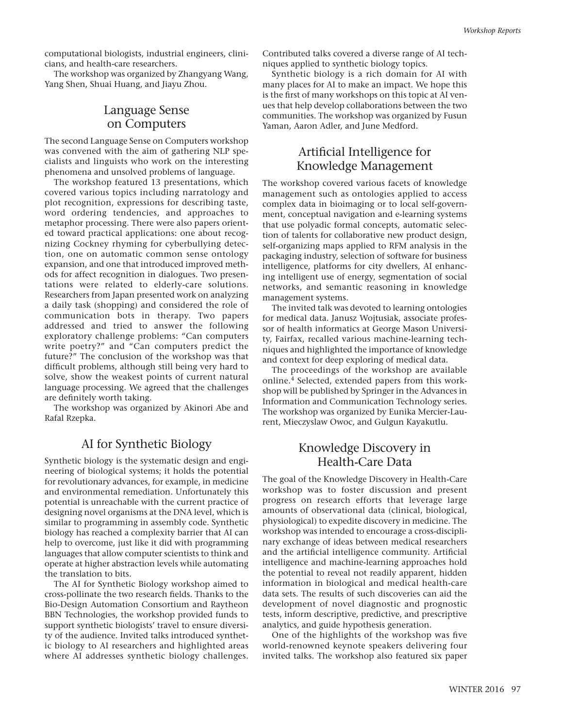computational biologists, industrial engineers, clinicians, and health-care researchers.

The workshop was organized by Zhangyang Wang, Yang Shen, Shuai Huang, and Jiayu Zhou.

### Language Sense on Computers

The second Language Sense on Computers workshop was convened with the aim of gathering NLP specialists and linguists who work on the interesting phenomena and unsolved problems of language.

The workshop featured 13 presentations, which covered various topics including narratology and plot recognition, expressions for describing taste, word ordering tendencies, and approaches to metaphor processing. There were also papers oriented toward practical applications: one about recognizing Cockney rhyming for cyberbullying detection, one on automatic common sense ontology expansion, and one that introduced improved methods for affect recognition in dialogues. Two presentations were related to elderly-care solutions. Researchers from Japan presented work on analyzing a daily task (shopping) and considered the role of communication bots in therapy. Two papers addressed and tried to answer the following exploratory challenge problems: "Can computers write poetry?" and "Can computers predict the future?" The conclusion of the workshop was that difficult problems, although still being very hard to solve, show the weakest points of current natural language processing. We agreed that the challenges are definitely worth taking.

The workshop was organized by Akinori Abe and Rafal Rzepka.

#### AI for Synthetic Biology

Synthetic biology is the systematic design and engineering of biological systems; it holds the potential for revolutionary advances, for example, in medicine and environmental remediation. Unfortunately this potential is unreachable with the current practice of designing novel organisms at the DNA level, which is similar to programming in assembly code. Synthetic biology has reached a complexity barrier that AI can help to overcome, just like it did with programming languages that allow computer scientists to think and operate at higher abstraction levels while automating the translation to bits.

The AI for Synthetic Biology workshop aimed to cross-pollinate the two research fields. Thanks to the Bio-Design Automation Consortium and Raytheon BBN Technologies, the workshop provided funds to support synthetic biologists' travel to ensure diversity of the audience. Invited talks introduced synthetic biology to AI researchers and highlighted areas where AI addresses synthetic biology challenges.

Contributed talks covered a diverse range of AI techniques applied to synthetic biology topics.

Synthetic biology is a rich domain for AI with many places for AI to make an impact. We hope this is the first of many workshops on this topic at AI venues that help develop collaborations between the two communities. The workshop was organized by Fusun Yaman, Aaron Adler, and June Medford.

### Artificial Intelligence for Knowledge Management

The workshop covered various facets of knowledge management such as ontologies applied to access complex data in bioimaging or to local self-government, conceptual navigation and e-learning systems that use polyadic formal concepts, automatic selection of talents for collaborative new product design, self-organizing maps applied to RFM analysis in the packaging industry, selection of software for business intelligence, platforms for city dwellers, AI enhancing intelligent use of energy, segmentation of social networks, and semantic reasoning in knowledge management systems.

The invited talk was devoted to learning ontologies for medical data. Janusz Wojtusiak, associate professor of health informatics at George Mason University, Fairfax, recalled various machine-learning techniques and highlighted the importance of knowledge and context for deep exploring of medical data.

The proceedings of the workshop are available online. <sup>4</sup> Selected, extended papers from this workshop will be published by Springer in the Advances in Information and Communication Technology series. The workshop was organized by Eunika Mercier-Laurent, Mieczyslaw Owoc, and Gulgun Kayakutlu.

#### Knowledge Discovery in Health-Care Data

The goal of the Knowledge Discovery in Health-Care workshop was to foster discussion and present progress on research efforts that leverage large amounts of observational data (clinical, biological, physiological) to expedite discovery in medicine. The workshop was intended to encourage a cross-disciplinary exchange of ideas between medical researchers and the artificial intelligence community. Artificial intelligence and machine-learning approaches hold the potential to reveal not readily apparent, hidden information in biological and medical health-care data sets. The results of such discoveries can aid the development of novel diagnostic and prognostic tests, inform descriptive, predictive, and prescriptive analytics, and guide hypothesis generation.

One of the highlights of the workshop was five world-renowned keynote speakers delivering four invited talks. The workshop also featured six paper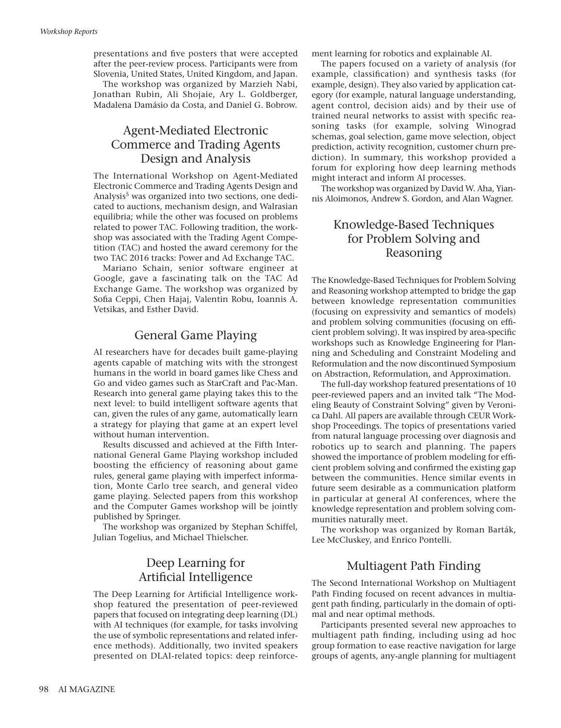presentations and five posters that were accepted after the peer-review process. Participants were from Slovenia, United States, United Kingdom, and Japan.

The workshop was organized by Marzieh Nabi, Jonathan Rubin, Ali Shojaie, Ary L. Goldberger, Madalena Damásio da Costa, and Daniel G. Bobrow.

# Agent-Mediated Electronic Commerce and Trading Agents Design and Analysis

The International Workshop on Agent-Mediated Electronic Commerce and Trading Agents Design and Analysis<sup>5</sup> was organized into two sections, one dedicated to auctions, mechanism design, and Walrasian equilibria; while the other was focused on problems related to power TAC. Following tradition, the workshop was associated with the Trading Agent Competition (TAC) and hosted the award ceremony for the two TAC 2016 tracks: Power and Ad Exchange TAC.

Mariano Schain, senior software engineer at Google, gave a fascinating talk on the TAC Ad Exchange Game. The workshop was organized by Sofia Ceppi, Chen Hajaj, Valentin Robu, Ioannis A. Vetsikas, and Esther David.

#### General Game Playing

AI researchers have for decades built game-playing agents capable of matching wits with the strongest humans in the world in board games like Chess and Go and video games such as StarCraft and Pac-Man. Research into general game playing takes this to the next level: to build intelligent software agents that can, given the rules of any game, automatically learn a strategy for playing that game at an expert level without human intervention.

Results discussed and achieved at the Fifth International General Game Playing workshop included boosting the efficiency of reasoning about game rules, general game playing with imperfect information, Monte Carlo tree search, and general video game playing. Selected papers from this workshop and the Computer Games workshop will be jointly published by Springer.

The workshop was organized by Stephan Schiffel, Julian Togelius, and Michael Thielscher.

## Deep Learning for Artificial Intelligence

The Deep Learning for Artificial Intelligence workshop featured the presentation of peer-reviewed papers that focused on integrating deep learning (DL) with AI techniques (for example, for tasks involving the use of symbolic representations and related inference methods). Additionally, two invited speakers presented on DLAI-related topics: deep reinforcement learning for robotics and explainable AI.

The papers focused on a variety of analysis (for example, classification) and synthesis tasks (for example, design). They also varied by application category (for example, natural language understanding, agent control, decision aids) and by their use of trained neural networks to assist with specific reasoning tasks (for example, solving Winograd schemas, goal selection, game move selection, object prediction, activity recognition, customer churn prediction). In summary, this workshop provided a forum for exploring how deep learning methods might interact and inform AI processes.

The workshop was organized by David W. Aha, Yiannis Aloimonos, Andrew S. Gordon, and Alan Wagner.

# Knowledge-Based Techniques for Problem Solving and Reasoning

The Knowledge-Based Techniques for Problem Solving and Reasoning workshop attempted to bridge the gap between knowledge representation communities (focusing on expressivity and semantics of models) and problem solving communities (focusing on efficient problem solving). It was inspired by area-specific workshops such as Knowledge Engineering for Planning and Scheduling and Constraint Modeling and Reformulation and the now discontinued Symposium on Abstraction, Reformulation, and Approximation.

The full-day workshop featured presentations of 10 peer-reviewed papers and an invited talk "The Modeling Beauty of Constraint Solving" given by Veronica Dahl. All papers are available through CEUR Workshop Proceedings. The topics of presentations varied from natural language processing over diagnosis and robotics up to search and planning. The papers showed the importance of problem modeling for efficient problem solving and confirmed the existing gap between the communities. Hence similar events in future seem desirable as a communication platform in particular at general AI conferences, where the knowledge representation and problem solving communities naturally meet.

The workshop was organized by Roman Barták, Lee McCluskey, and Enrico Pontelli.

#### Multiagent Path Finding

The Second International Workshop on Multiagent Path Finding focused on recent advances in multiagent path finding, particularly in the domain of optimal and near optimal methods.

Participants presented several new approaches to multiagent path finding, including using ad hoc group formation to ease reactive navigation for large groups of agents, any-angle planning for multiagent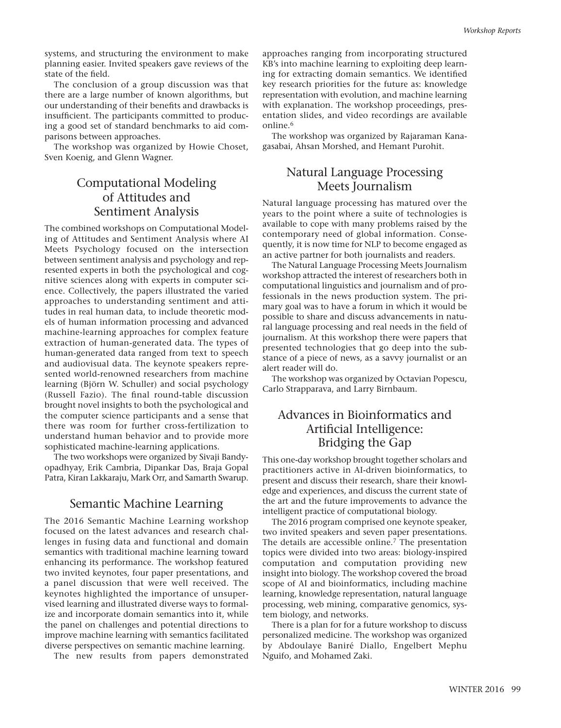systems, and structuring the environment to make planning easier. Invited speakers gave reviews of the state of the field.

The conclusion of a group discussion was that there are a large number of known algorithms, but our understanding of their benefits and drawbacks is insufficient. The participants committed to producing a good set of standard benchmarks to aid comparisons between approaches.

The workshop was organized by Howie Choset, Sven Koenig, and Glenn Wagner.

## Computational Modeling of Attitudes and Sentiment Analysis

The combined workshops on Computational Modeling of Attitudes and Sentiment Analysis where AI Meets Psychology focused on the intersection between sentiment analysis and psychology and represented experts in both the psychological and cognitive sciences along with experts in computer science. Collectively, the papers illustrated the varied approaches to understanding sentiment and attitudes in real human data, to include theoretic models of human information processing and advanced machine-learning approaches for complex feature extraction of human-generated data. The types of human-generated data ranged from text to speech and audiovisual data. The keynote speakers represented world-renowned researchers from machine learning (Björn W. Schuller) and social psychology (Russell Fazio). The final round-table discussion brought novel insights to both the psychological and the computer science participants and a sense that there was room for further cross-fertilization to understand human behavior and to provide more sophisticated machine-learning applications.

The two workshops were organized by Sivaji Bandyopadhyay, Erik Cambria, Dipankar Das, Braja Gopal Patra, Kiran Lakkaraju, Mark Orr, and Samarth Swarup.

#### Semantic Machine Learning

The 2016 Semantic Machine Learning workshop focused on the latest advances and research challenges in fusing data and functional and domain semantics with traditional machine learning toward enhancing its performance. The workshop featured two invited keynotes, four paper presentations, and a panel discussion that were well received. The keynotes highlighted the importance of unsupervised learning and illustrated diverse ways to formalize and incorporate domain semantics into it, while the panel on challenges and potential directions to improve machine learning with semantics facilitated diverse perspectives on semantic machine learning.

The new results from papers demonstrated

approaches ranging from incorporating structured KB's into machine learning to exploiting deep learning for extracting domain semantics. We identified key research priorities for the future as: knowledge representation with evolution, and machine learning with explanation. The workshop proceedings, presentation slides, and video recordings are available online. 6

The workshop was organized by Rajaraman Kanagasabai, Ahsan Morshed, and Hemant Purohit.

## Natural Language Processing Meets Journalism

Natural language processing has matured over the years to the point where a suite of technologies is available to cope with many problems raised by the contemporary need of global information. Consequently, it is now time for NLP to become engaged as an active partner for both journalists and readers.

The Natural Language Processing Meets Journalism workshop attracted the interest of researchers both in computational linguistics and journalism and of professionals in the news production system. The primary goal was to have a forum in which it would be possible to share and discuss advancements in natural language processing and real needs in the field of journalism. At this workshop there were papers that presented technologies that go deep into the substance of a piece of news, as a savvy journalist or an alert reader will do.

The workshop was organized by Octavian Popescu, Carlo Strapparava, and Larry Birnbaum.

# Advances in Bioinformatics and Artificial Intelligence: Bridging the Gap

This one-day workshop brought together scholars and practitioners active in AI-driven bioinformatics, to present and discuss their research, share their knowledge and experiences, and discuss the current state of the art and the future improvements to advance the intelligent practice of computational biology.

The 2016 program comprised one keynote speaker, two invited speakers and seven paper presentations. The details are accessible online.<sup>7</sup> The presentation topics were divided into two areas: biology-inspired computation and computation providing new insight into biology. The workshop covered the broad scope of AI and bioinformatics, including machine learning, knowledge representation, natural language processing, web mining, comparative genomics, system biology, and networks.

There is a plan for for a future workshop to discuss personalized medicine. The workshop was organized by Abdoulaye Baniré Diallo, Engelbert Mephu Nguifo, and Mohamed Zaki.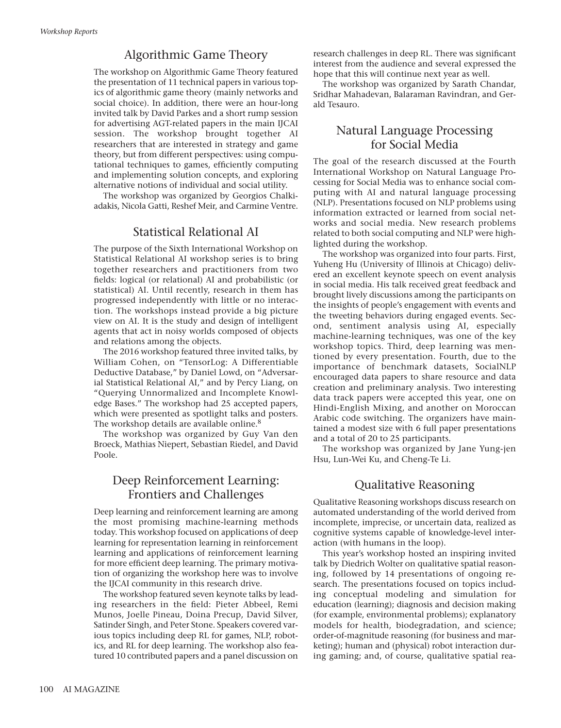#### Algorithmic Game Theory

The workshop on Algorithmic Game Theory featured the presentation of 11 technical papers in various topics of algorithmic game theory (mainly networks and social choice). In addition, there were an hour-long invited talk by David Parkes and a short rump session for advertising AGT-related papers in the main IJCAI session. The workshop brought together AI researchers that are interested in strategy and game theory, but from different perspectives: using computational techniques to games, efficiently computing and implementing solution concepts, and exploring alternative notions of individual and social utility.

The workshop was organized by Georgios Chalkiadakis, Nicola Gatti, Reshef Meir, and Carmine Ventre.

#### Statistical Relational AI

The purpose of the Sixth International Workshop on Statistical Relational AI workshop series is to bring together researchers and practitioners from two fields: logical (or relational) AI and probabilistic (or statistical) AI. Until recently, research in them has progressed independently with little or no interaction. The workshops instead provide a big picture view on AI. It is the study and design of intelligent agents that act in noisy worlds composed of objects and relations among the objects.

The 2016 workshop featured three invited talks, by William Cohen, on "TensorLog: A Differentiable Deductive Database," by Daniel Lowd, on "Adversarial Statistical Relational AI," and by Percy Liang, on "Querying Unnormalized and Incomplete Knowledge Bases." The workshop had 25 accepted papers, which were presented as spotlight talks and posters. The workshop details are available online.<sup>8</sup>

The workshop was organized by Guy Van den Broeck, Mathias Niepert, Sebastian Riedel, and David Poole.

## Deep Reinforcement Learning: Frontiers and Challenges

Deep learning and reinforcement learning are among the most promising machine-learning methods today. This workshop focused on applications of deep learning for representation learning in reinforcement learning and applications of reinforcement learning for more efficient deep learning. The primary motivation of organizing the workshop here was to involve the IJCAI community in this research drive.

The workshop featured seven keynote talks by leading researchers in the field: Pieter Abbeel, Remi Munos, Joelle Pineau, Doina Precup, David Silver, Satinder Singh, and Peter Stone. Speakers covered various topics including deep RL for games, NLP, robotics, and RL for deep learning. The workshop also featured 10 contributed papers and a panel discussion on research challenges in deep RL. There was significant interest from the audience and several expressed the hope that this will continue next year as well.

The workshop was organized by Sarath Chandar, Sridhar Mahadevan, Balaraman Ravindran, and Gerald Tesauro.

## Natural Language Processing for Social Media

The goal of the research discussed at the Fourth International Workshop on Natural Language Processing for Social Media was to enhance social computing with AI and natural language processing (NLP). Presentations focused on NLP problems using information extracted or learned from social networks and social media. New research problems related to both social computing and NLP were highlighted during the workshop.

The workshop was organized into four parts. First, Yuheng Hu (University of Illinois at Chicago) delivered an excellent keynote speech on event analysis in social media. His talk received great feedback and brought lively discussions among the participants on the insights of people's engagement with events and the tweeting behaviors during engaged events. Second, sentiment analysis using AI, especially machine-learning techniques, was one of the key workshop topics. Third, deep learning was mentioned by every presentation. Fourth, due to the importance of benchmark datasets, SocialNLP encouraged data papers to share resource and data creation and preliminary analysis. Two interesting data track papers were accepted this year, one on Hindi-English Mixing, and another on Moroccan Arabic code switching. The organizers have maintained a modest size with 6 full paper presentations and a total of 20 to 25 participants.

The workshop was organized by Jane Yung-jen Hsu, Lun-Wei Ku, and Cheng-Te Li.

#### Qualitative Reasoning

Qualitative Reasoning workshops discuss research on automated understanding of the world derived from incomplete, imprecise, or uncertain data, realized as cognitive systems capable of knowledge-level interaction (with humans in the loop).

This year's workshop hosted an inspiring invited talk by Diedrich Wolter on qualitative spatial reasoning, followed by 14 presentations of ongoing research. The presentations focused on topics including conceptual modeling and simulation for education (learning); diagnosis and decision making (for example, environmental problems); explanatory models for health, biodegradation, and science; order-of-magnitude reasoning (for business and marketing); human and (physical) robot interaction during gaming; and, of course, qualitative spatial rea